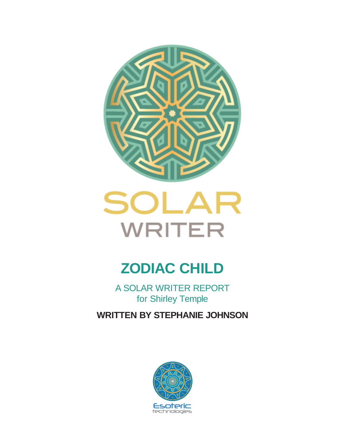



# **ZODIAC CHILD**

A SOLAR WRITER REPORT for Shirley Temple

**WRITTEN BY STEPHANIE JOHNSON**

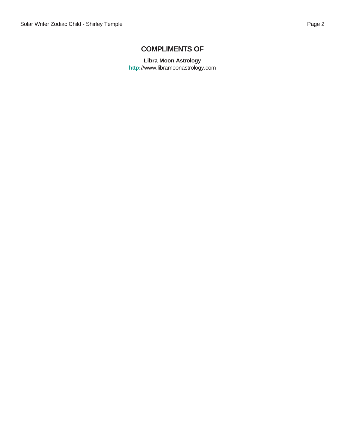### **COMPLIMENTS OF**

**Libra Moon Astrology http:**//<www.libramoonastrology.com>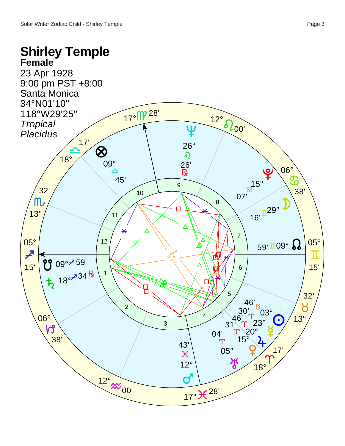## **Shirley Temple Female**

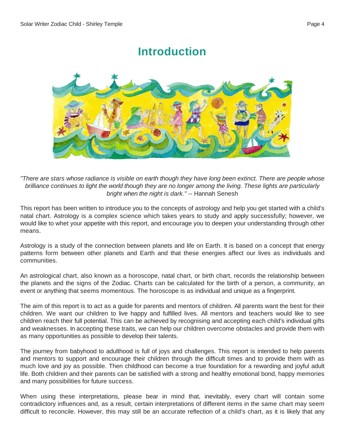## **Introduction**



"There are stars whose radiance is visible on earth though they have long been extinct. There are people whose brilliance continues to light the world though they are no longer among the living. These lights are particularly *bright when the night is dark."* -- Hannah Senesh

This report has been written to introduce you to the concepts of astrology and help you get started with a child's natal chart. Astrology is a complex science which takes years to study and apply successfully; however, we would like to whet your appetite with this report, and encourage you to deepen your understanding through other means.

Astrology is a study of the connection between planets and life on Earth. It is based on a concept that energy patterns form between other planets and Earth and that these energies affect our lives as individuals and communities.

An astrological chart, also known as a horoscope, natal chart, or birth chart, records the relationship between the planets and the signs of the Zodiac. Charts can be calculated for the birth of a person, a community, an event or anything that seems momentous. The horoscope is as individual and unique as a fingerprint.

The aim of this report is to act as a guide for parents and mentors of children. All parents want the best for their children. We want our children to live happy and fulfilled lives. All mentors and teachers would like to see children reach their full potential. This can be achieved by recognising and accepting each child's individual gifts and weaknesses. In accepting these traits, we can help our children overcome obstacles and provide them with as many opportunities as possible to develop their talents.

The journey from babyhood to adulthood is full of joys and challenges. This report is intended to help parents and mentors to support and encourage their children through the difficult times and to provide them with as much love and joy as possible. Then childhood can become a true foundation for a rewarding and joyful adult life. Both children and their parents can be satisfied with a strong and healthy emotional bond, happy memories and many possibilities for future success.

When using these interpretations, please bear in mind that, inevitably, every chart will contain some contradictory influences and, as a result, certain interpretations of different items in the same chart may seem difficult to reconcile. However, this may still be an accurate reflection of a child's chart, as it is likely that any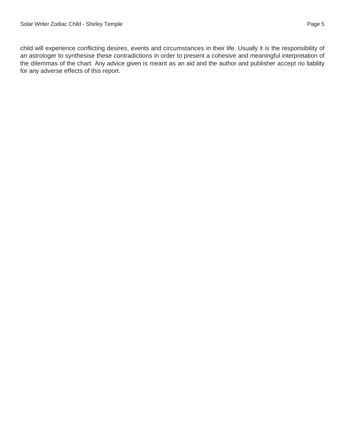child will experience conflicting desires, events and circumstances in their life. Usually it is the responsibility of an astrologer to synthesise these contradictions in order to present a cohesive and meaningful interpretation of the dilemmas of the chart. Any advice given is meant as an aid and the author and publisher accept no liability for any adverse effects of this report.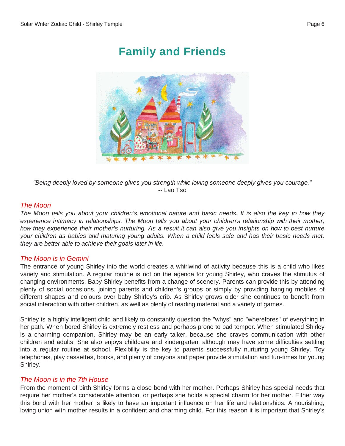## **Family and Friends**



*"Being deeply loved by someone gives you strength while loving someone deeply gives you courage."* -- Lao Tso

#### *The Moon*

The Moon tells you about your children's emotional nature and basic needs. It is also the key to how they *experience intimacy in relationships. The Moon tells you about your children's relationship with their mother,* how they experience their mother's nurturing. As a result it can also give you insights on how to best nurture your children as babies and maturing young adults. When a child feels safe and has their basic needs met, *they are better able to achieve their goals later in life.*

#### *The Moon is in Gemini*

The entrance of young Shirley into the world creates a whirlwind of activity because this is a child who likes variety and stimulation. A regular routine is not on the agenda for young Shirley, who craves the stimulus of changing environments. Baby Shirley benefits from a change of scenery. Parents can provide this by attending plenty of social occasions, joining parents and children's groups or simply by providing hanging mobiles of different shapes and colours over baby Shirley's crib. As Shirley grows older she continues to benefit from social interaction with other children, as well as plenty of reading material and a variety of games.

Shirley is a highly intelligent child and likely to constantly question the "whys" and "wherefores" of everything in her path. When bored Shirley is extremely restless and perhaps prone to bad temper. When stimulated Shirley is a charming companion. Shirley may be an early talker, because she craves communication with other children and adults. She also enjoys childcare and kindergarten, although may have some difficulties settling into a regular routine at school. Flexibility is the key to parents successfully nurturing young Shirley. Toy telephones, play cassettes, books, and plenty of crayons and paper provide stimulation and fun-times for young Shirley.

#### *The Moon is in the 7th House*

From the moment of birth Shirley forms a close bond with her mother. Perhaps Shirley has special needs that require her mother's considerable attention, or perhaps she holds a special charm for her mother. Either way this bond with her mother is likely to have an important influence on her life and relationships. A nourishing, loving union with mother results in a confident and charming child. For this reason it is important that Shirley's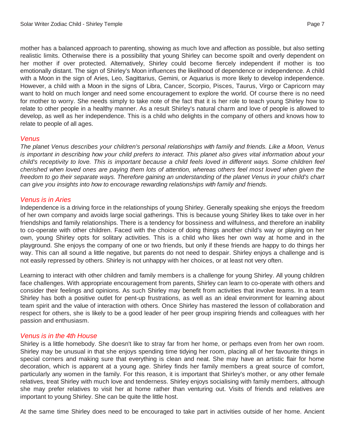mother has a balanced approach to parenting, showing as much love and affection as possible, but also setting realistic limits. Otherwise there is a possibility that young Shirley can become spoilt and overly dependent on her mother if over protected. Alternatively, Shirley could become fiercely independent if mother is too emotionally distant. The sign of Shirley's Moon influences the likelihood of dependence or independence. A child with a Moon in the sign of Aries, Leo, Sagittarius, Gemini, or Aquarius is more likely to develop independence. However, a child with a Moon in the signs of Libra, Cancer, Scorpio, Pisces, Taurus, Virgo or Capricorn may want to hold on much longer and need some encouragement to explore the world. Of course there is no need for mother to worry. She needs simply to take note of the fact that it is her role to teach young Shirley how to relate to other people in a healthy manner. As a result Shirley's natural charm and love of people is allowed to develop, as well as her independence. This is a child who delights in the company of others and knows how to relate to people of all ages.

#### *Venus*

*The planet Venus describes your children's personal relationships with family and friends. Like a Moon, Venus* is important in describing how your child prefers to interact. This planet also gives vital information about your child's receptivity to love. This is important because a child feels loved in different ways. Some children feel cherished when loved ones are paying them lots of attention, whereas others feel most loved when given the freedom to go their separate ways. Therefore gaining an understanding of the planet Venus in your child's chart *can give you insights into how to encourage rewarding relationships with family and friends.*

#### *Venus is in Aries*

Independence is a driving force in the relationships of young Shirley. Generally speaking she enjoys the freedom of her own company and avoids large social gatherings. This is because young Shirley likes to take over in her friendships and family relationships. There is a tendency for bossiness and wilfulness, and therefore an inability to co-operate with other children. Faced with the choice of doing things another child's way or playing on her own, young Shirley opts for solitary activities. This is a child who likes her own way at home and in the playground. She enjoys the company of one or two friends, but only if these friends are happy to do things her way. This can all sound a little negative, but parents do not need to despair. Shirley enjoys a challenge and is not easily repressed by others. Shirley is not unhappy with her choices, or at least not very often.

Learning to interact with other children and family members is a challenge for young Shirley. All young children face challenges. With appropriate encouragement from parents, Shirley can learn to co-operate with others and consider their feelings and opinions. As such Shirley may benefit from activities that involve teams. In a team Shirley has both a positive outlet for pent-up frustrations, as well as an ideal environment for learning about team spirit and the value of interaction with others. Once Shirley has mastered the lesson of collaboration and respect for others, she is likely to be a good leader of her peer group inspiring friends and colleagues with her passion and enthusiasm.

#### *Venus is in the 4th House*

Shirley is a little homebody. She doesn't like to stray far from her home, or perhaps even from her own room. Shirley may be unusual in that she enjoys spending time tidying her room, placing all of her favourite things in special corners and making sure that everything is clean and neat. She may have an artistic flair for home decoration, which is apparent at a young age. Shirley finds her family members a great source of comfort, particularly any women in the family. For this reason, it is important that Shirley's mother, or any other female relatives, treat Shirley with much love and tenderness. Shirley enjoys socialising with family members, although she may prefer relatives to visit her at home rather than venturing out. Visits of friends and relatives are important to young Shirley. She can be quite the little host.

At the same time Shirley does need to be encouraged to take part in activities outside of her home. Ancient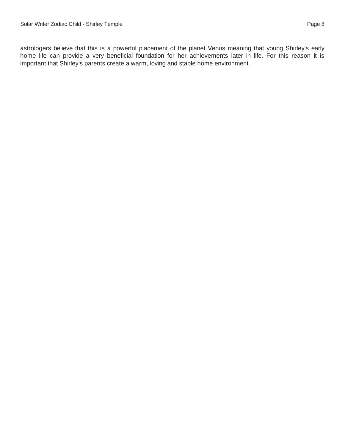astrologers believe that this is a powerful placement of the planet Venus meaning that young Shirley's early home life can provide a very beneficial foundation for her achievements later in life. For this reason it is important that Shirley's parents create a warm, loving and stable home environment.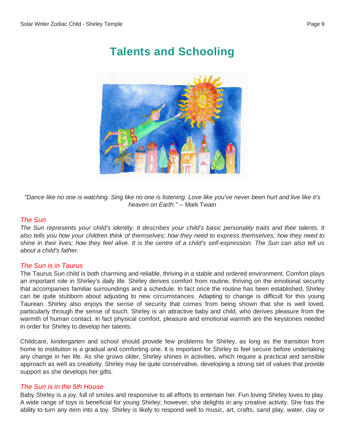**Talents and Schooling**

"Dance like no one is watching. Sing like no one is listening. Love like you've never been hurt and live like it's *heaven on Earth."* -- Mark Twain

#### *The Sun*

The Sun represents your child's identity. It describes your child's basic personality traits and their talents. It also tells you how your children think of themselves; how they need to express themselves; how they need to shine in their lives; how they feel alive. It is the centre of a child's self-expression. The Sun can also tell us *about a child's father.*

#### *The Sun is in Taurus*

The Taurus Sun child is both charming and reliable, thriving in a stable and ordered environment. Comfort plays an important role in Shirley's daily life. Shirley derives comfort from routine, thriving on the emotional security that accompanies familiar surroundings and a schedule. In fact once the routine has been established, Shirley can be quite stubborn about adjusting to new circumstances. Adapting to change is difficult for this young Taurean. Shirley also enjoys the sense of security that comes from being shown that she is well loved, particularly through the sense of touch. Shirley is an attractive baby and child, who derives pleasure from the warmth of human contact. In fact physical comfort, pleasure and emotional warmth are the keystones needed in order for Shirley to develop her talents.

Childcare, kindergarten and school should provide few problems for Shirley, as long as the transition from home to institution is a gradual and comforting one. It is important for Shirley to feel secure before undertaking any change in her life. As she grows older, Shirley shines in activities, which require a practical and sensible approach as well as creativity. Shirley may be quite conservative, developing a strong set of values that provide support as she develops her gifts.

#### *The Sun is in the 5th House*

Baby Shirley is a joy, full of smiles and responsive to all efforts to entertain her. Fun loving Shirley loves to play. A wide range of toys is beneficial for young Shirley; however, she delights in any creative activity. She has the ability to turn any item into a toy. Shirley is likely to respond well to music, art, crafts, sand play, water, clay or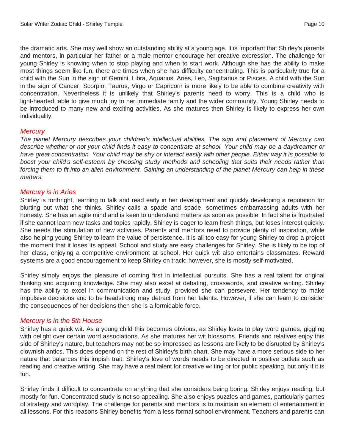the dramatic arts. She may well show an outstanding ability at a young age. It is important that Shirley's parents and mentors, in particular her father or a male mentor encourage her creative expression. The challenge for young Shirley is knowing when to stop playing and when to start work. Although she has the ability to make most things seem like fun, there are times when she has difficulty concentrating. This is particularly true for a child with the Sun in the sign of Gemini, Libra, Aquarius, Aries, Leo, Sagittarius or Pisces. A child with the Sun in the sign of Cancer, Scorpio, Taurus, Virgo or Capricorn is more likely to be able to combine creativity with concentration. Nevertheless it is unlikely that Shirley's parents need to worry. This is a child who is light-hearted, able to give much joy to her immediate family and the wider community. Young Shirley needs to be introduced to many new and exciting activities. As she matures then Shirley is likely to express her own individuality.

#### *Mercury*

*The planet Mercury describes your children's intellectual abilities. The sign and placement of Mercury can* describe whether or not your child finds it easy to concentrate at school. Your child may be a daydreamer or have great concentration. Your child may be shy or interact easily with other people. Either way it is possible to *boost your child's self-esteem by choosing study methods and schooling that suits their needs rather than* forcing them to fit into an alien environment. Gaining an understanding of the planet Mercury can help in these *matters.*

#### *Mercury is in Aries*

Shirley is forthright, learning to talk and read early in her development and quickly developing a reputation for blurting out what she thinks. Shirley calls a spade and spade, sometimes embarrassing adults with her honesty. She has an agile mind and is keen to understand matters as soon as possible. In fact she is frustrated if she cannot learn new tasks and topics rapidly. Shirley is eager to learn fresh things, but loses interest quickly. She needs the stimulation of new activities. Parents and mentors need to provide plenty of inspiration, while also helping young Shirley to learn the value of persistence. It is all too easy for young Shirley to drop a project the moment that it loses its appeal. School and study are easy challenges for Shirley. She is likely to be top of her class, enjoying a competitive environment at school. Her quick wit also entertains classmates. Reward systems are a good encouragement to keep Shirley on track; however, she is mostly self-motivated.

Shirley simply enjoys the pleasure of coming first in intellectual pursuits. She has a real talent for original thinking and acquiring knowledge. She may also excel at debating, crosswords, and creative writing. Shirley has the ability to excel in communication and study, provided she can persevere. Her tendency to make impulsive decisions and to be headstrong may detract from her talents. However, if she can learn to consider the consequences of her decisions then she is a formidable force.

#### *Mercury is in the 5th House*

Shirley has a quick wit. As a young child this becomes obvious, as Shirley loves to play word games, giggling with delight over certain word associations. As she matures her wit blossoms. Friends and relatives enjoy this side of Shirley's nature, but teachers may not be so impressed as lessons are likely to be disrupted by Shirley's clownish antics. This does depend on the rest of Shirley's birth chart. She may have a more serious side to her nature that balances this impish trait. Shirley's love of words needs to be directed in positive outlets such as reading and creative writing. She may have a real talent for creative writing or for public speaking, but only if it is fun.

Shirley finds it difficult to concentrate on anything that she considers being boring. Shirley enjoys reading, but mostly for fun. Concentrated study is not so appealing. She also enjoys puzzles and games, particularly games of strategy and wordplay. The challenge for parents and mentors is to maintain an element of entertainment in all lessons. For this reasons Shirley benefits from a less formal school environment. Teachers and parents can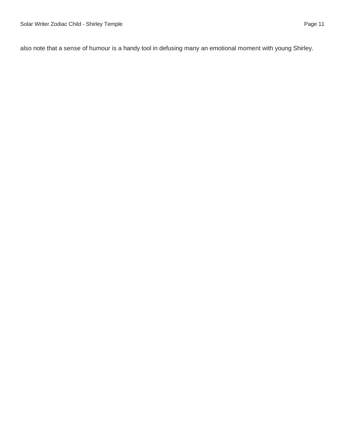also note that a sense of humour is a handy tool in defusing many an emotional moment with young Shirley.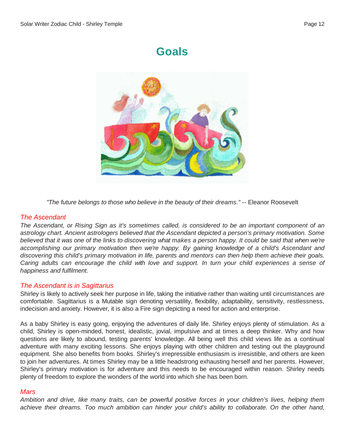## **Goals**



*"The future belongs to those who believe in the beauty of their dreams."* -- Eleanor Roosevelt

#### *The Ascendant*

The Ascendant, or Rising Sign as it's sometimes called, is considered to be an important component of an *astrology chart. Ancient astrologers believed that the Ascendant depicted a person's primary motivation. Some* believed that it was one of the links to discovering what makes a person happy. It could be said that when we're *accomplishing our primary motivation then we're happy. By gaining knowledge of a child's Ascendant and* discovering this child's primary motivation in life, parents and mentors can then help them achieve their goals. Caring adults can encourage the child with love and support. In turn your child experiences a sense of *happiness and fulfilment.*

#### *The Ascendant is in Sagittarius*

Shirley is likely to actively seek her purpose in life, taking the initiative rather than waiting until circumstances are comfortable. Sagittarius is a Mutable sign denoting versatility, flexibility, adaptability, sensitivity, restlessness, indecision and anxiety. However, it is also a Fire sign depicting a need for action and enterprise.

As a baby Shirley is easy going, enjoying the adventures of daily life. Shirley enjoys plenty of stimulation. As a child, Shirley is open-minded, honest, idealistic, jovial, impulsive and at times a deep thinker. Why and how questions are likely to abound, testing parents' knowledge. All being well this child views life as a continual adventure with many exciting lessons. She enjoys playing with other children and testing out the playground equipment. She also benefits from books. Shirley's irrepressible enthusiasm is irresistible, and others are keen to join her adventures. At times Shirley may be a little headstrong exhausting herself and her parents. However, Shirley's primary motivation is for adventure and this needs to be encouraged within reason. Shirley needs plenty of freedom to explore the wonders of the world into which she has been born.

#### *Mars*

Ambition and drive, like many traits, can be powerful positive forces in your children's lives, helping them achieve their dreams. Too much ambition can hinder your child's ability to collaborate. On the other hand,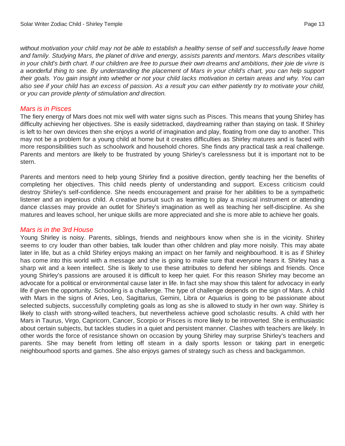without motivation your child may not be able to establish a healthy sense of self and successfully leave home and family. Studying Mars, the planet of drive and energy, assists parents and mentors. Mars describes vitality in your child's birth chart. If our children are free to pursue their own dreams and ambitions, their joie de vivre is a wonderful thing to see. By understanding the placement of Mars in your child's chart, you can help support their goals. You gain insight into whether or not your child lacks motivation in certain areas and why. You can also see if your child has an excess of passion. As a result you can either patiently try to motivate your child, *or you can provide plenty of stimulation and direction.*

#### *Mars is in Pisces*

The fiery energy of Mars does not mix well with water signs such as Pisces. This means that young Shirley has difficulty achieving her objectives. She is easily sidetracked, daydreaming rather than staying on task. If Shirley is left to her own devices then she enjoys a world of imagination and play, floating from one day to another. This may not be a problem for a young child at home but it creates difficulties as Shirley matures and is faced with more responsibilities such as schoolwork and household chores. She finds any practical task a real challenge. Parents and mentors are likely to be frustrated by young Shirley's carelessness but it is important not to be stern.

Parents and mentors need to help young Shirley find a positive direction, gently teaching her the benefits of completing her objectives. This child needs plenty of understanding and support. Excess criticism could destroy Shirley's self-confidence. She needs encouragement and praise for her abilities to be a sympathetic listener and an ingenious child. A creative pursuit such as learning to play a musical instrument or attending dance classes may provide an outlet for Shirley's imagination as well as teaching her self-discipline. As she matures and leaves school, her unique skills are more appreciated and she is more able to achieve her goals.

#### *Mars is in the 3rd House*

Young Shirley is noisy. Parents, siblings, friends and neighbours know when she is in the vicinity. Shirley seems to cry louder than other babies, talk louder than other children and play more noisily. This may abate later in life, but as a child Shirley enjoys making an impact on her family and neighbourhood. It is as if Shirley has come into this world with a message and she is going to make sure that everyone hears it. Shirley has a sharp wit and a keen intellect. She is likely to use these attributes to defend her siblings and friends. Once young Shirley's passions are aroused it is difficult to keep her quiet. For this reason Shirley may become an advocate for a political or environmental cause later in life. In fact she may show this talent for advocacy in early life if given the opportunity. Schooling is a challenge. The type of challenge depends on the sign of Mars. A child with Mars in the signs of Aries, Leo, Sagittarius, Gemini, Libra or Aquarius is going to be passionate about selected subjects, successfully completing goals as long as she is allowed to study in her own way. Shirley is likely to clash with strong-willed teachers, but nevertheless achieve good scholastic results. A child with her Mars in Taurus, Virgo, Capricorn, Cancer, Scorpio or Pisces is more likely to be introverted. She is enthusiastic about certain subjects, but tackles studies in a quiet and persistent manner. Clashes with teachers are likely. In other words the force of resistance shown on occasion by young Shirley may surprise Shirley's teachers and parents. She may benefit from letting off steam in a daily sports lesson or taking part in energetic neighbourhood sports and games. She also enjoys games of strategy such as chess and backgammon.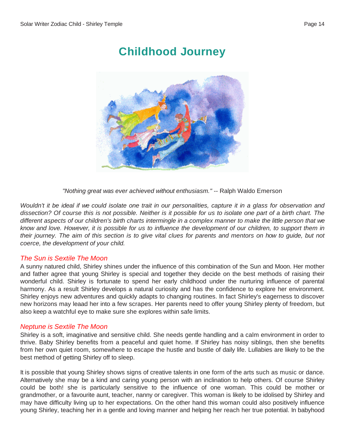## **Childhood Journey**



*"Nothing great was ever achieved without enthusiasm."* -- Ralph Waldo Emerson

Wouldn't it be ideal if we could isolate one trait in our personalities, capture it in a glass for observation and dissection? Of course this is not possible. Neither is it possible for us to isolate one part of a birth chart. The different aspects of our children's birth charts intermingle in a complex manner to make the little person that we know and love. However, it is possible for us to influence the development of our children, to support them in their journey. The aim of this section is to give vital clues for parents and mentors on how to guide, but not *coerce, the development of your child.*

#### *The Sun is Sextile The Moon*

A sunny natured child, Shirley shines under the influence of this combination of the Sun and Moon. Her mother and father agree that young Shirley is special and together they decide on the best methods of raising their wonderful child. Shirley is fortunate to spend her early childhood under the nurturing influence of parental harmony. As a result Shirley develops a natural curiosity and has the confidence to explore her environment. Shirley enjoys new adventures and quickly adapts to changing routines. In fact Shirley's eagerness to discover new horizons may leaad her into a few scrapes. Her parents need to offer young Shirley plenty of freedom, but also keep a watchful eye to make sure she explores within safe limits.

#### *Neptune is Sextile The Moon*

Shirley is a soft, imaginative and sensitive child. She needs gentle handling and a calm environment in order to thrive. Baby Shirley benefits from a peaceful and quiet home. If Shirley has noisy siblings, then she benefits from her own quiet room, somewhere to escape the hustle and bustle of daily life. Lullabies are likely to be the best method of getting Shirley off to sleep.

It is possible that young Shirley shows signs of creative talents in one form of the arts such as music or dance. Alternatively she may be a kind and caring young person with an inclination to help others. Of course Shirley could be both! she is particularly sensitive to the influence of one woman. This could be mother or grandmother, or a favourite aunt, teacher, nanny or caregiver. This woman is likely to be idolised by Shirley and may have difficulty living up to her expectations. On the other hand this woman could also positively influence young Shirley, teaching her in a gentle and loving manner and helping her reach her true potential. In babyhood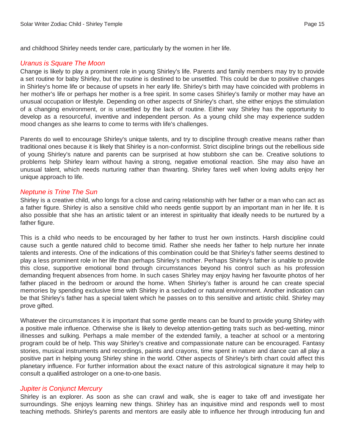and childhood Shirley needs tender care, particularly by the women in her life.

#### *Uranus is Square The Moon*

Change is likely to play a prominent role in young Shirley's life. Parents and family members may try to provide a set routine for baby Shirley, but the routine is destined to be unsettled. This could be due to positive changes in Shirley's home life or because of upsets in her early life. Shirley's birth may have coincided with problems in her mother's life or perhaps her mother is a free spirit. In some cases Shirley's family or mother may have an unusual occupation or lifestyle. Depending on other aspects of Shirley's chart, she either enjoys the stimulation of a changing environment, or is unsettled by the lack of routine. Either way Shirley has the opportunity to develop as a resourceful, inventive and independent person. As a young child she may experience sudden mood changes as she learns to come to terms with life's challenges.

Parents do well to encourage Shirley's unique talents, and try to discipline through creative means rather than traditional ones because it is likely that Shirley is a non-conformist. Strict discipline brings out the rebellious side of young Shirley's nature and parents can be surprised at how stubborn she can be. Creative solutions to problems help Shirley learn without having a strong, negative emotional reaction. She may also have an unusual talent, which needs nurturing rather than thwarting. Shirley fares well when loving adults enjoy her unique approach to life.

#### *Neptune is Trine The Sun*

Shirley is a creative child, who longs for a close and caring relationship with her father or a man who can act as a father figure. Shirley is also a sensitive child who needs gentle support by an important man in her life. It is also possible that she has an artistic talent or an interest in spirituality that ideally needs to be nurtured by a father figure.

This is a child who needs to be encouraged by her father to trust her own instincts. Harsh discipline could cause such a gentle natured child to become timid. Rather she needs her father to help nurture her innate talents and interests. One of the indications of this combination could be that Shirley's father seems destined to play a less prominent role in her life than perhaps Shirley's mother. Perhaps Shirley's father is unable to provide this close, supportive emotional bond through circumstances beyond his control such as his profession demanding frequent absences from home. In such cases Shirley may enjoy having her favourite photos of her father placed in the bedroom or around the home. When Shirley's father is around he can create special memories by spending exclusive time with Shirley in a secluded or natural environment. Another indication can be that Shirley's father has a special talent which he passes on to this sensitive and artistic child. Shirley may prove gifted.

Whatever the circumstances it is important that some gentle means can be found to provide young Shirley with a positive male influence. Otherwise she is likely to develop attention-getting traits such as bed-wetting, minor illnesses and sulking. Perhaps a male member of the extended family, a teacher at school or a mentoring program could be of help. This way Shirley's creative and compassionate nature can be encouraged. Fantasy stories, musical instruments and recordings, paints and crayons, time spent in nature and dance can all play a positive part in helping young Shirley shine in the world. Other aspects of Shirley's birth chart could affect this planetary influence. For further information about the exact nature of this astrological signature it may help to consult a qualified astrologer on a one-to-one basis.

#### *Jupiter is Conjunct Mercury*

Shirley is an explorer. As soon as she can crawl and walk, she is eager to take off and investigate her surroundings. She enjoys learning new things. Shirley has an inquisitive mind and responds well to most teaching methods. Shirley's parents and mentors are easily able to influence her through introducing fun and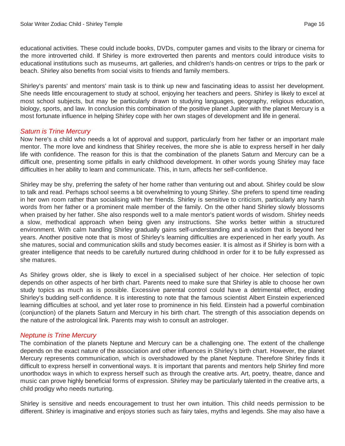educational activities. These could include books, DVDs, computer games and visits to the library or cinema for the more introverted child. If Shirley is more extroverted then parents and mentors could introduce visits to educational institutions such as museums, art galleries, and children's hands-on centres or trips to the park or beach. Shirley also benefits from social visits to friends and family members.

Shirley's parents' and mentors' main task is to think up new and fascinating ideas to assist her development. She needs little encouragement to study at school, enjoying her teachers and peers. Shirley is likely to excel at most school subjects, but may be particularly drawn to studying languages, geography, religious education, biology, sports, and law. In conclusion this combination of the positive planet Jupiter with the planet Mercury is a most fortunate influence in helping Shirley cope with her own stages of development and life in general.

#### *Saturn is Trine Mercury*

Now here's a child who needs a lot of approval and support, particularly from her father or an important male mentor. The more love and kindness that Shirley receives, the more she is able to express herself in her daily life with confidence. The reason for this is that the combination of the planets Saturn and Mercury can be a difficult one, presenting some pitfalls in early childhood development. In other words young Shirley may face difficulties in her ability to learn and communicate. This, in turn, affects her self-confidence.

Shirley may be shy, preferring the safety of her home rather than venturing out and about. Shirley could be slow to talk and read. Perhaps school seems a bit overwhelming to young Shirley. She prefers to spend time reading in her own room rather than socialising with her friends. Shirley is sensitive to criticism, particularly any harsh words from her father or a prominent male member of the family. On the other hand Shirley slowly blossoms when praised by her father. She also responds well to a male mentor's patient words of wisdom. Shirley needs a slow, methodical approach when being given any instructions. She works better within a structured environment. With calm handling Shirley gradually gains self-understanding and a wisdom that is beyond her years. Another positive note that is most of Shirley's learning difficulties are experienced in her early youth. As she matures, social and communication skills and study becomes easier. It is almost as if Shirley is born with a greater intelligence that needs to be carefully nurtured during childhood in order for it to be fully expressed as she matures.

As Shirley grows older, she is likely to excel in a specialised subject of her choice. Her selection of topic depends on other aspects of her birth chart. Parents need to make sure that Shirley is able to choose her own study topics as much as is possible. Excessive parental control could have a detrimental effect, eroding Shirley's budding self-confidence. It is interesting to note that the famous scientist Albert Einstein experienced learning difficulties at school, and yet later rose to prominence in his field. Einstein had a powerful combination (conjunction) of the planets Saturn and Mercury in his birth chart. The strength of this association depends on the nature of the astrological link. Parents may wish to consult an astrologer.

#### *Neptune is Trine Mercury*

The combination of the planets Neptune and Mercury can be a challenging one. The extent of the challenge depends on the exact nature of the association and other influences in Shirley's birth chart. However, the planet Mercury represents communication, which is overshadowed by the planet Neptune. Therefore Shirley finds it difficult to express herself in conventional ways. It is important that parents and mentors help Shirley find more unorthodox ways in which to express herself such as through the creative arts. Art, poetry, theatre, dance and music can prove highly beneficial forms of expression. Shirley may be particularly talented in the creative arts, a child prodigy who needs nurturing.

Shirley is sensitive and needs encouragement to trust her own intuition. This child needs permission to be different. Shirley is imaginative and enjoys stories such as fairy tales, myths and legends. She may also have a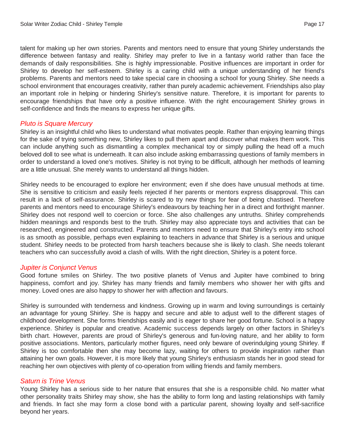talent for making up her own stories. Parents and mentors need to ensure that young Shirley understands the difference between fantasy and reality. Shirley may prefer to live in a fantasy world rather than face the demands of daily responsibilities. She is highly impressionable. Positive influences are important in order for Shirley to develop her self-esteem. Shirley is a caring child with a unique understanding of her friend's problems. Parents and mentors need to take special care in choosing a school for young Shirley. She needs a school environment that encourages creativity, rather than purely academic achievement. Friendships also play an important role in helping or hindering Shirley's sensitive nature. Therefore, it is important for parents to encourage friendships that have only a positive influence. With the right encouragement Shirley grows in self-confidence and finds the means to express her unique gifts.

#### *Pluto is Square Mercury*

Shirley is an insightful child who likes to understand what motivates people. Rather than enjoying learning things for the sake of trying something new, Shirley likes to pull them apart and discover what makes them work. This can include anything such as dismantling a complex mechanical toy or simply pulling the head off a much beloved doll to see what is underneath. It can also include asking embarrassing questions of family members in order to understand a loved one's motives. Shirley is not trying to be difficult, although her methods of learning are a little unusual. She merely wants to understand all things hidden.

Shirley needs to be encouraged to explore her environment; even if she does have unusual methods at time. She is sensitive to criticism and easily feels rejected if her parents or mentors express disapproval. This can result in a lack of self-assurance. Shirley is scared to try new things for fear of being chastised. Therefore parents and mentors need to encourage Shirley's endeavours by teaching her in a direct and forthright manner. Shirley does not respond well to coercion or force. She also challenges any untruths. Shirley comprehends hidden meanings and responds best to the truth. Shirley may also appreciate toys and activities that can be researched, engineered and constructed. Parents and mentors need to ensure that Shirley's entry into school is as smooth as possible, perhaps even explaining to teachers in advance that Shirley is a serious and unique student. Shirley needs to be protected from harsh teachers because she is likely to clash. She needs tolerant teachers who can successfully avoid a clash of wills. With the right direction, Shirley is a potent force.

#### *Jupiter is Conjunct Venus*

Good fortune smiles on Shirley. The two positive planets of Venus and Jupiter have combined to bring happiness, comfort and joy. Shirley has many friends and family members who shower her with gifts and money. Loved ones are also happy to shower her with affection and favours.

Shirley is surrounded with tenderness and kindness. Growing up in warm and loving surroundings is certainly an advantage for young Shirley. She is happy and secure and able to adjust well to the different stages of childhood development. She forms friendships easily and is eager to share her good fortune. School is a happy experience. Shirley is popular and creative. Academic success depends largely on other factors in Shirley's birth chart. However, parents are proud of Shirley's generous and fun-loving nature, and her ability to form positive associations. Mentors, particularly mother figures, need only beware of overindulging young Shirley. If Shirley is too comfortable then she may become lazy, waiting for others to provide inspiration rather than attaining her own goals. However, it is more likely that young Shirley's enthusiasm stands her in good stead for reaching her own objectives with plenty of co-operation from willing friends and family members.

#### *Saturn is Trine Venus*

Young Shirley has a serious side to her nature that ensures that she is a responsible child. No matter what other personality traits Shirley may show, she has the ability to form long and lasting relationships with family and friends. In fact she may form a close bond with a particular parent, showing loyalty and self-sacrifice beyond her years.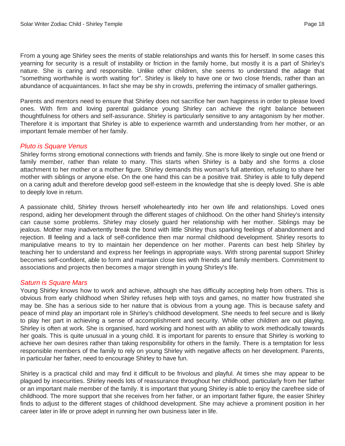From a young age Shirley sees the merits of stable relationships and wants this for herself. In some cases this yearning for security is a result of instability or friction in the family home, but mostly it is a part of Shirley's nature. She is caring and responsible. Unlike other children, she seems to understand the adage that "something worthwhile is worth waiting for". Shirley is likely to have one or two close friends, rather than an abundance of acquaintances. In fact she may be shy in crowds, preferring the intimacy of smaller gatherings.

Parents and mentors need to ensure that Shirley does not sacrifice her own happiness in order to please loved ones. With firm and loving parental guidance young Shirley can achieve the right balance between thoughtfulness for others and self-assurance. Shirley is particularly sensitive to any antagonism by her mother. Therefore it is important that Shirley is able to experience warmth and understanding from her mother, or an important female member of her family.

#### *Pluto is Square Venus*

Shirley forms strong emotional connections with friends and family. She is more likely to single out one friend or family member, rather than relate to many. This starts when Shirley is a baby and she forms a close attachment to her mother or a mother figure. Shirley demands this woman's full attention, refusing to share her mother with siblings or anyone else. On the one hand this can be a positive trait. Shirley is able to fully depend on a caring adult and therefore develop good self-esteem in the knowledge that she is deeply loved. She is able to deeply love in return.

A passionate child, Shirley throws herself wholeheartedly into her own life and relationships. Loved ones respond, aiding her development through the different stages of childhood. On the other hand Shirley's intensity can cause some problems. Shirley may closely guard her relationship with her mother. Siblings may be jealous. Mother may inadvertently break the bond with little Shirley thus sparking feelings of abandonment and rejection. Ill feeling and a lack of self-confidence then mar normal childhood development. Shirley resorts to manipulative means to try to maintain her dependence on her mother. Parents can best help Shirley by teaching her to understand and express her feelings in appropriate ways. With strong parental support Shirley becomes self-confident, able to form and maintain close ties with friends and family members. Commitment to associations and projects then becomes a major strength in young Shirley's life.

#### *Saturn is Square Mars*

Young Shirley knows how to work and achieve, although she has difficulty accepting help from others. This is obvious from early childhood when Shirley refuses help with toys and games, no matter how frustrated she may be. She has a serious side to her nature that is obvious from a young age. This is because safety and peace of mind play an important role in Shirley's childhood development. She needs to feel secure and is likely to play her part in achieving a sense of accomplishment and security. While other children are out playing, Shirley is often at work. She is organised, hard working and honest with an ability to work methodically towards her goals. This is quite unusual in a young child. It is important for parents to ensure that Shirley is working to achieve her own desires rather than taking responsibility for others in the family. There is a temptation for less responsible members of the family to rely on young Shirley with negative affects on her development. Parents, in particular her father, need to encourage Shirley to have fun.

Shirley is a practical child and may find it difficult to be frivolous and playful. At times she may appear to be plagued by insecurities. Shirley needs lots of reassurance throughout her childhood, particularly from her father or an important male member of the family. It is important that young Shirley is able to enjoy the carefree side of childhood. The more support that she receives from her father, or an important father figure, the easier Shirley finds to adjust to the different stages of childhood development. She may achieve a prominent position in her career later in life or prove adept in running her own business later in life.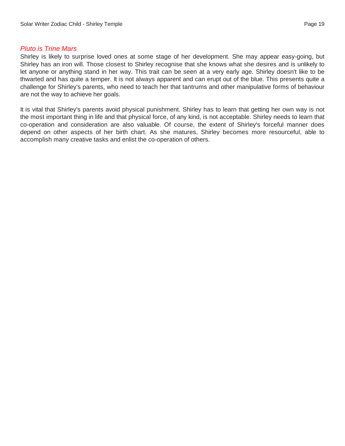#### *Pluto is Trine Mars*

Shirley is likely to surprise loved ones at some stage of her development. She may appear easy-going, but Shirley has an iron will. Those closest to Shirley recognise that she knows what she desires and is unlikely to let anyone or anything stand in her way. This trait can be seen at a very early age. Shirley doesn't like to be thwarted and has quite a temper. It is not always apparent and can erupt out of the blue. This presents quite a challenge for Shirley's parents, who need to teach her that tantrums and other manipulative forms of behaviour are not the way to achieve her goals.

It is vital that Shirley's parents avoid physical punishment. Shirley has to learn that getting her own way is not the most important thing in life and that physical force, of any kind, is not acceptable. Shirley needs to learn that co-operation and consideration are also valuable. Of course, the extent of Shirley's forceful manner does depend on other aspects of her birth chart. As she matures, Shirley becomes more resourceful, able to accomplish many creative tasks and enlist the co-operation of others.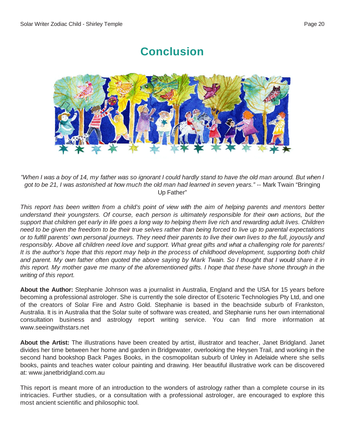## **Conclusion**



"When I was a boy of 14, my father was so ignorant I could hardly stand to have the old man around. But when I got to be 21, I was astonished at how much the old man had learned in seven years." -- Mark Twain "Bringing" Up Father"

This report has been written from a child's point of view with the aim of helping parents and mentors better *understand their youngsters. Of course, each person is ultimately responsible for their own actions, but the* support that children get early in life goes a long way to helping them live rich and rewarding adult lives. Children need to be given the freedom to be their true selves rather than being forced to live up to parental expectations or to fulfill parents' own personal journeys. They need their parents to live their own lives to the full, joyously and responsibly. Above all children need love and support. What great gifts and what a challenging role for parents! It is the author's hope that this report may help in the process of childhood development, supporting both child and parent. My own father often quoted the above saying by Mark Twain. So I thought that I would share it in this report. My mother gave me many of the aforementioned gifts. I hope that these have shone through in the *writing of this report.*

**About the Author:** Stephanie Johnson was a journalist in Australia, England and the USA for 15 years before becoming a professional astrologer. She is currently the sole director of Esoteric Technologies Pty Ltd, and one of the creators of Solar Fire and Astro Gold. Stephanie is based in the beachside suburb of Frankston, Australia. It is in Australia that the Solar suite of software was created, and Stephanie runs her own international consultation business and astrology report writing service. You can find more information at <www.seeingwithstars.net>

**About the Artist:** The illustrations have been created by artist, illustrator and teacher, Janet Bridgland. Janet divides her time between her home and garden in Bridgewater, overlooking the Heysen Trail, and working in the second hand bookshop Back Pages Books, in the cosmopolitan suburb of Unley in Adelaide where she sells books, paints and teaches water colour painting and drawing. Her beautiful illustrative work can be discovered at: <www.janetbridgland.com.au>

This report is meant more of an introduction to the wonders of astrology rather than a complete course in its intricacies. Further studies, or a consultation with a professional astrologer, are encouraged to explore this most ancient scientific and philosophic tool.